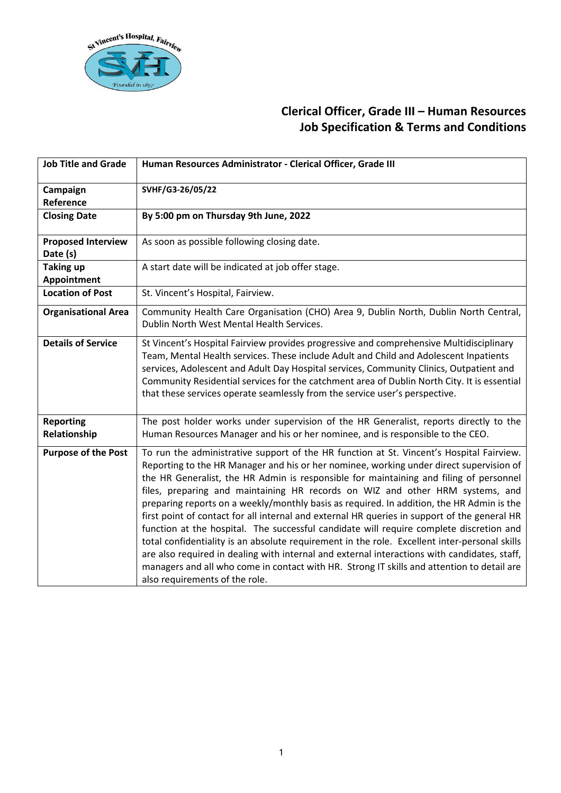

| <b>Job Title and Grade</b>            | Human Resources Administrator - Clerical Officer, Grade III                                                                                                                                                                                                                                                                                                                                                                                                                                                                                                                                                                                                                                                                                                                                                                                                                                                                                                                             |
|---------------------------------------|-----------------------------------------------------------------------------------------------------------------------------------------------------------------------------------------------------------------------------------------------------------------------------------------------------------------------------------------------------------------------------------------------------------------------------------------------------------------------------------------------------------------------------------------------------------------------------------------------------------------------------------------------------------------------------------------------------------------------------------------------------------------------------------------------------------------------------------------------------------------------------------------------------------------------------------------------------------------------------------------|
| Campaign<br>Reference                 | SVHF/G3-26/05/22                                                                                                                                                                                                                                                                                                                                                                                                                                                                                                                                                                                                                                                                                                                                                                                                                                                                                                                                                                        |
| <b>Closing Date</b>                   | By 5:00 pm on Thursday 9th June, 2022                                                                                                                                                                                                                                                                                                                                                                                                                                                                                                                                                                                                                                                                                                                                                                                                                                                                                                                                                   |
| <b>Proposed Interview</b><br>Date (s) | As soon as possible following closing date.                                                                                                                                                                                                                                                                                                                                                                                                                                                                                                                                                                                                                                                                                                                                                                                                                                                                                                                                             |
| <b>Taking up</b><br>Appointment       | A start date will be indicated at job offer stage.                                                                                                                                                                                                                                                                                                                                                                                                                                                                                                                                                                                                                                                                                                                                                                                                                                                                                                                                      |
| <b>Location of Post</b>               | St. Vincent's Hospital, Fairview.                                                                                                                                                                                                                                                                                                                                                                                                                                                                                                                                                                                                                                                                                                                                                                                                                                                                                                                                                       |
| <b>Organisational Area</b>            | Community Health Care Organisation (CHO) Area 9, Dublin North, Dublin North Central,<br>Dublin North West Mental Health Services.                                                                                                                                                                                                                                                                                                                                                                                                                                                                                                                                                                                                                                                                                                                                                                                                                                                       |
| <b>Details of Service</b>             | St Vincent's Hospital Fairview provides progressive and comprehensive Multidisciplinary<br>Team, Mental Health services. These include Adult and Child and Adolescent Inpatients<br>services, Adolescent and Adult Day Hospital services, Community Clinics, Outpatient and<br>Community Residential services for the catchment area of Dublin North City. It is essential<br>that these services operate seamlessly from the service user's perspective.                                                                                                                                                                                                                                                                                                                                                                                                                                                                                                                               |
| <b>Reporting</b><br>Relationship      | The post holder works under supervision of the HR Generalist, reports directly to the<br>Human Resources Manager and his or her nominee, and is responsible to the CEO.                                                                                                                                                                                                                                                                                                                                                                                                                                                                                                                                                                                                                                                                                                                                                                                                                 |
| <b>Purpose of the Post</b>            | To run the administrative support of the HR function at St. Vincent's Hospital Fairview.<br>Reporting to the HR Manager and his or her nominee, working under direct supervision of<br>the HR Generalist, the HR Admin is responsible for maintaining and filing of personnel<br>files, preparing and maintaining HR records on WIZ and other HRM systems, and<br>preparing reports on a weekly/monthly basis as required. In addition, the HR Admin is the<br>first point of contact for all internal and external HR queries in support of the general HR<br>function at the hospital. The successful candidate will require complete discretion and<br>total confidentiality is an absolute requirement in the role. Excellent inter-personal skills<br>are also required in dealing with internal and external interactions with candidates, staff,<br>managers and all who come in contact with HR. Strong IT skills and attention to detail are<br>also requirements of the role. |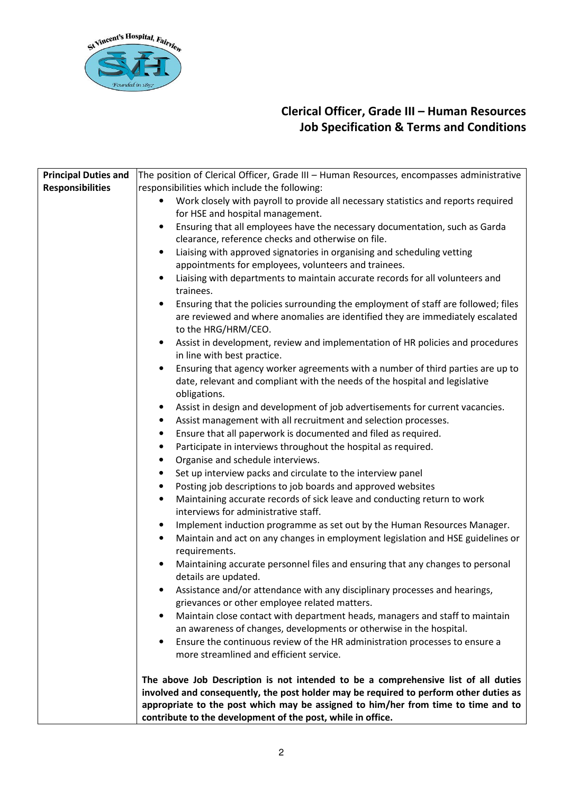

| <b>Principal Duties and</b> | The position of Clerical Officer, Grade III - Human Resources, encompasses administrative                                                                                   |
|-----------------------------|-----------------------------------------------------------------------------------------------------------------------------------------------------------------------------|
| <b>Responsibilities</b>     | responsibilities which include the following:                                                                                                                               |
|                             | Work closely with payroll to provide all necessary statistics and reports required                                                                                          |
|                             | for HSE and hospital management.                                                                                                                                            |
|                             | Ensuring that all employees have the necessary documentation, such as Garda<br>$\bullet$                                                                                    |
|                             | clearance, reference checks and otherwise on file.                                                                                                                          |
|                             | Liaising with approved signatories in organising and scheduling vetting<br>$\bullet$                                                                                        |
|                             | appointments for employees, volunteers and trainees.                                                                                                                        |
|                             | Liaising with departments to maintain accurate records for all volunteers and<br>$\bullet$                                                                                  |
|                             | trainees.                                                                                                                                                                   |
|                             | Ensuring that the policies surrounding the employment of staff are followed; files                                                                                          |
|                             | are reviewed and where anomalies are identified they are immediately escalated<br>to the HRG/HRM/CEO.                                                                       |
|                             | Assist in development, review and implementation of HR policies and procedures<br>$\bullet$                                                                                 |
|                             | in line with best practice.                                                                                                                                                 |
|                             | Ensuring that agency worker agreements with a number of third parties are up to                                                                                             |
|                             | date, relevant and compliant with the needs of the hospital and legislative                                                                                                 |
|                             | obligations.                                                                                                                                                                |
|                             | Assist in design and development of job advertisements for current vacancies.<br>$\bullet$                                                                                  |
|                             | Assist management with all recruitment and selection processes.<br>$\bullet$                                                                                                |
|                             | Ensure that all paperwork is documented and filed as required.<br>٠                                                                                                         |
|                             | Participate in interviews throughout the hospital as required.<br>$\bullet$                                                                                                 |
|                             | Organise and schedule interviews.<br>٠                                                                                                                                      |
|                             | Set up interview packs and circulate to the interview panel                                                                                                                 |
|                             | Posting job descriptions to job boards and approved websites<br>$\bullet$                                                                                                   |
|                             | Maintaining accurate records of sick leave and conducting return to work<br>$\bullet$<br>interviews for administrative staff.                                               |
|                             | Implement induction programme as set out by the Human Resources Manager.<br>$\bullet$                                                                                       |
|                             | Maintain and act on any changes in employment legislation and HSE guidelines or<br>$\bullet$<br>requirements.                                                               |
|                             | Maintaining accurate personnel files and ensuring that any changes to personal<br>$\bullet$                                                                                 |
|                             | details are updated.                                                                                                                                                        |
|                             | Assistance and/or attendance with any disciplinary processes and hearings,                                                                                                  |
|                             | grievances or other employee related matters.                                                                                                                               |
|                             | Maintain close contact with department heads, managers and staff to maintain<br>$\bullet$                                                                                   |
|                             | an awareness of changes, developments or otherwise in the hospital.                                                                                                         |
|                             | Ensure the continuous review of the HR administration processes to ensure a<br>٠                                                                                            |
|                             | more streamlined and efficient service.                                                                                                                                     |
|                             | The above Job Description is not intended to be a comprehensive list of all duties<br>involved and consequently, the post holder may be required to perform other duties as |
|                             | appropriate to the post which may be assigned to him/her from time to time and to<br>contribute to the development of the post, while in office.                            |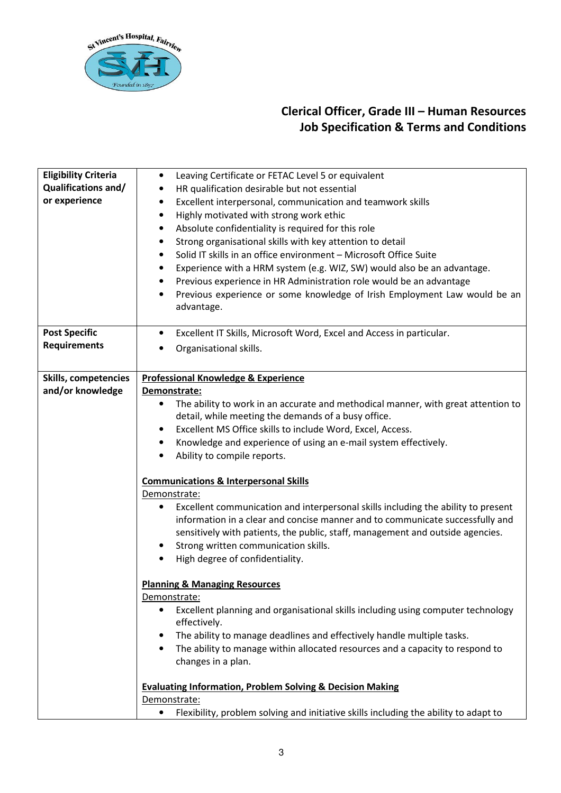

| <b>Eligibility Criteria</b><br><b>Qualifications and/</b><br>or experience | Leaving Certificate or FETAC Level 5 or equivalent<br>$\bullet$<br>HR qualification desirable but not essential<br>٠<br>Excellent interpersonal, communication and teamwork skills<br>٠<br>Highly motivated with strong work ethic<br>$\bullet$<br>Absolute confidentiality is required for this role<br>٠<br>Strong organisational skills with key attention to detail<br>٠<br>Solid IT skills in an office environment - Microsoft Office Suite<br>$\bullet$<br>Experience with a HRM system (e.g. WIZ, SW) would also be an advantage.<br>٠                                                                                                                                                                                                                                                           |
|----------------------------------------------------------------------------|----------------------------------------------------------------------------------------------------------------------------------------------------------------------------------------------------------------------------------------------------------------------------------------------------------------------------------------------------------------------------------------------------------------------------------------------------------------------------------------------------------------------------------------------------------------------------------------------------------------------------------------------------------------------------------------------------------------------------------------------------------------------------------------------------------|
|                                                                            | Previous experience in HR Administration role would be an advantage<br>٠<br>Previous experience or some knowledge of Irish Employment Law would be an<br>$\bullet$<br>advantage.                                                                                                                                                                                                                                                                                                                                                                                                                                                                                                                                                                                                                         |
| <b>Post Specific</b><br><b>Requirements</b>                                | Excellent IT Skills, Microsoft Word, Excel and Access in particular.<br>$\bullet$<br>Organisational skills.                                                                                                                                                                                                                                                                                                                                                                                                                                                                                                                                                                                                                                                                                              |
| <b>Skills, competencies</b><br>and/or knowledge                            | <b>Professional Knowledge &amp; Experience</b><br>Demonstrate:<br>The ability to work in an accurate and methodical manner, with great attention to<br>٠<br>detail, while meeting the demands of a busy office.<br>Excellent MS Office skills to include Word, Excel, Access.<br>$\bullet$<br>Knowledge and experience of using an e-mail system effectively.<br>٠<br>Ability to compile reports.<br><b>Communications &amp; Interpersonal Skills</b><br>Demonstrate:<br>Excellent communication and interpersonal skills including the ability to present<br>information in a clear and concise manner and to communicate successfully and<br>sensitively with patients, the public, staff, management and outside agencies.<br>Strong written communication skills.<br>High degree of confidentiality. |
|                                                                            | <b>Planning &amp; Managing Resources</b><br>Demonstrate:<br>Excellent planning and organisational skills including using computer technology<br>٠<br>effectively.<br>The ability to manage deadlines and effectively handle multiple tasks.<br>٠<br>The ability to manage within allocated resources and a capacity to respond to<br>$\bullet$<br>changes in a plan.<br><b>Evaluating Information, Problem Solving &amp; Decision Making</b><br>Demonstrate:<br>Flexibility, problem solving and initiative skills including the ability to adapt to<br>٠                                                                                                                                                                                                                                                |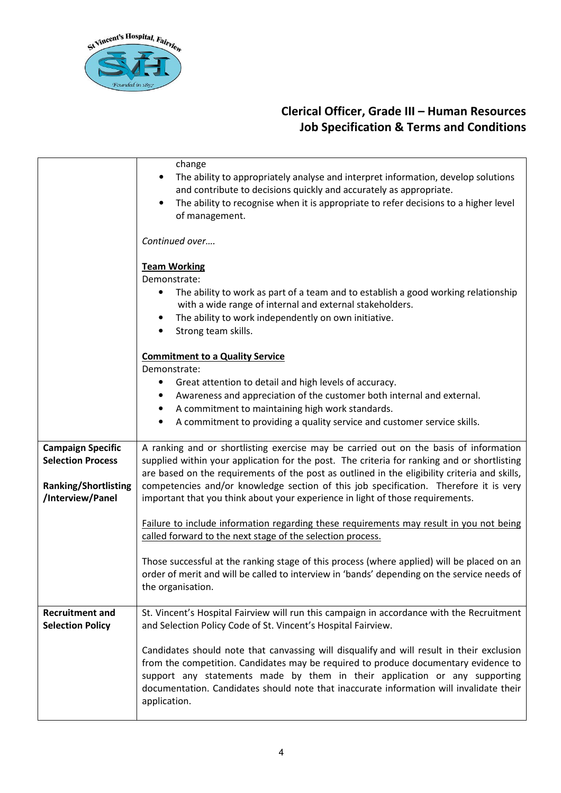

|                                                                                                         | change<br>The ability to appropriately analyse and interpret information, develop solutions<br>and contribute to decisions quickly and accurately as appropriate.<br>The ability to recognise when it is appropriate to refer decisions to a higher level<br>of management.                                                                                                                                                                                      |
|---------------------------------------------------------------------------------------------------------|------------------------------------------------------------------------------------------------------------------------------------------------------------------------------------------------------------------------------------------------------------------------------------------------------------------------------------------------------------------------------------------------------------------------------------------------------------------|
|                                                                                                         | Continued over                                                                                                                                                                                                                                                                                                                                                                                                                                                   |
|                                                                                                         | <b>Team Working</b><br>Demonstrate:<br>The ability to work as part of a team and to establish a good working relationship<br>with a wide range of internal and external stakeholders.<br>The ability to work independently on own initiative.<br>Strong team skills.                                                                                                                                                                                             |
|                                                                                                         | <b>Commitment to a Quality Service</b><br>Demonstrate:<br>Great attention to detail and high levels of accuracy.<br>Awareness and appreciation of the customer both internal and external.<br>A commitment to maintaining high work standards.<br>A commitment to providing a quality service and customer service skills.                                                                                                                                       |
| <b>Campaign Specific</b><br><b>Selection Process</b><br><b>Ranking/Shortlisting</b><br>/Interview/Panel | A ranking and or shortlisting exercise may be carried out on the basis of information<br>supplied within your application for the post. The criteria for ranking and or shortlisting<br>are based on the requirements of the post as outlined in the eligibility criteria and skills,<br>competencies and/or knowledge section of this job specification. Therefore it is very<br>important that you think about your experience in light of those requirements. |
|                                                                                                         | Failure to include information regarding these requirements may result in you not being<br>called forward to the next stage of the selection process.                                                                                                                                                                                                                                                                                                            |
|                                                                                                         | Those successful at the ranking stage of this process (where applied) will be placed on an<br>order of merit and will be called to interview in 'bands' depending on the service needs of<br>the organisation.                                                                                                                                                                                                                                                   |
| <b>Recruitment and</b><br><b>Selection Policy</b>                                                       | St. Vincent's Hospital Fairview will run this campaign in accordance with the Recruitment<br>and Selection Policy Code of St. Vincent's Hospital Fairview.                                                                                                                                                                                                                                                                                                       |
|                                                                                                         | Candidates should note that canvassing will disqualify and will result in their exclusion<br>from the competition. Candidates may be required to produce documentary evidence to<br>support any statements made by them in their application or any supporting<br>documentation. Candidates should note that inaccurate information will invalidate their<br>application.                                                                                        |